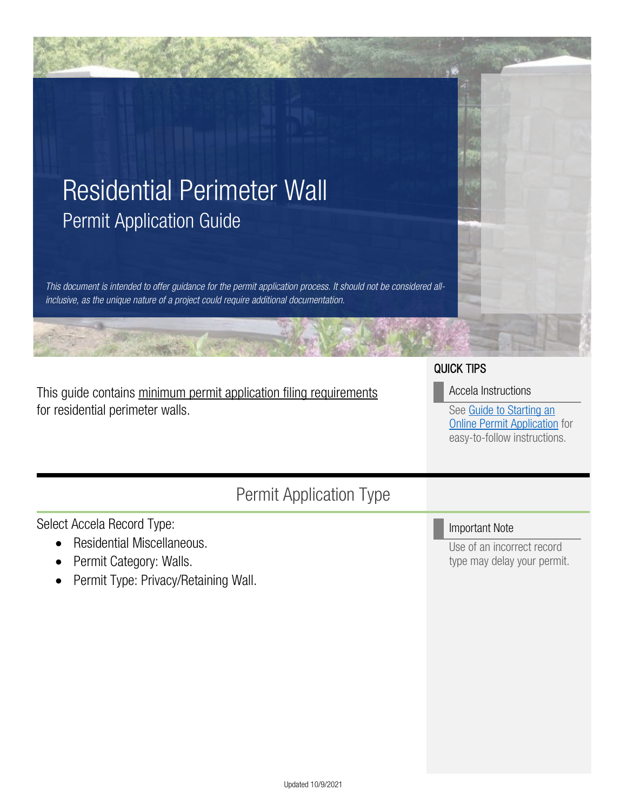

This guide contains minimum permit application filing requirements for residential perimeter walls.

### QUICK TIPS

#### Accela Instructions

See [Guide to Starting an](https://www.tampa.gov/document/how-start-online-permit-application-83531)  [Online Permit Application](https://www.tampa.gov/document/how-start-online-permit-application-83531) for easy-to-follow instructions.

### Permit Application Type

Select Accela Record Type:

- Residential Miscellaneous.
- Permit Category: Walls.
- Permit Type: Privacy/Retaining Wall.

Important Note

Use of an incorrect record type may delay your permit.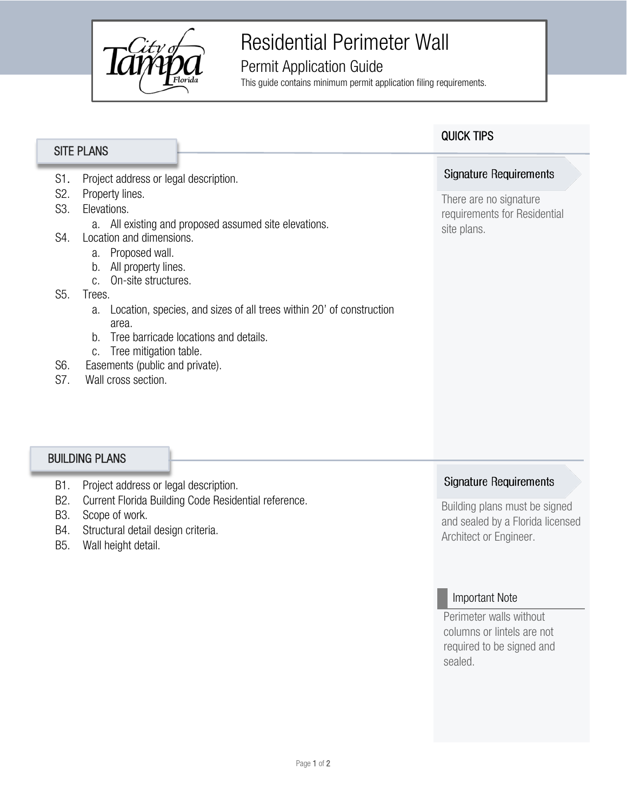

## Residential Perimeter Wall

### Permit Application Guide

This guide contains minimum permit application filing requirements.

|                                                            | <b>SITE PLANS</b>                                                                                                                                                                                                                                                                                                                                                                                                                                                                        | <b>QUICK TIPS</b>                                                                                      |
|------------------------------------------------------------|------------------------------------------------------------------------------------------------------------------------------------------------------------------------------------------------------------------------------------------------------------------------------------------------------------------------------------------------------------------------------------------------------------------------------------------------------------------------------------------|--------------------------------------------------------------------------------------------------------|
|                                                            |                                                                                                                                                                                                                                                                                                                                                                                                                                                                                          |                                                                                                        |
| S1.<br>S <sub>2</sub> .<br>S3.<br>S4.<br>S5.<br>S6.<br>S7. | Project address or legal description.<br>Property lines.<br>Elevations.<br>a. All existing and proposed assumed site elevations.<br>Location and dimensions.<br>Proposed wall.<br>a.<br>All property lines.<br>b.<br>On-site structures.<br>C.<br>Trees.<br>Location, species, and sizes of all trees within 20' of construction<br>a.<br>area.<br>Tree barricade locations and details.<br>b.<br>Tree mitigation table.<br>C.<br>Easements (public and private).<br>Wall cross section. | <b>Signature Requirements</b><br>There are no signature<br>requirements for Residential<br>site plans. |
| <b>BUILDING PLANS</b>                                      |                                                                                                                                                                                                                                                                                                                                                                                                                                                                                          |                                                                                                        |
| B1.                                                        | Project address or legal description.                                                                                                                                                                                                                                                                                                                                                                                                                                                    | <b>Signature Requirements</b>                                                                          |
| B <sub>2</sub> .<br>מח                                     | Current Florida Building Code Residential reference.<br>$0 \rightarrow 0 \rightarrow 0$                                                                                                                                                                                                                                                                                                                                                                                                  | Building plans must be signed                                                                          |

- B3. Scope of work.
- B4. Structural detail design criteria.
- B5. Wall height detail.

and sealed by a Florida licensed Architect or Engineer.

### Important Note

Perimeter walls without columns or lintels are not required to be signed and sealed.